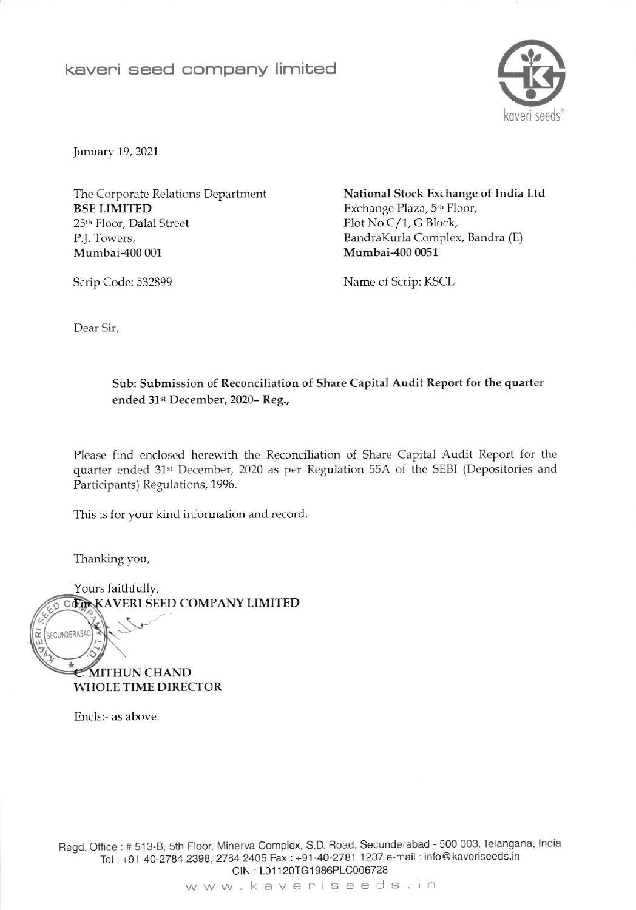## kaveri seed company limited



January 19, 2021

The Corporate Relations Department **BSE LIMITED** 25th Floor, Dalal Street P.J. Towers, Mumbai-400 001

National Stock Exchange of India Ltd Exchange Plaza, 5<sup>th</sup> Floor, Plot No.C/1, G Block, BandraKurla Complex, Bandra (E) Mumbai-400 0051

Scrip Code: 532899

Name of Scrip: KSCL

Dear Sir.

## Sub: Submission of Reconciliation of Share Capital Audit Report for the quarter ended 31st December, 2020-Reg.,

Please find enclosed herewith the Reconciliation of Share Capital Audit Report for the quarter ended 31st December, 2020 as per Regulation 55A of the SEBI (Depositories and Participants) Regulations, 1996.

This is for your kind information and record.

Thanking you,

Yours faithfully, CLONKAVERI SEED COMPANY LIMITED SECUNDERABAD **E.MITHUN CHAND WHOLE TIME DIRECTOR** 

Encls:- as above.

Regd. Office: # 513-B, 5th Floor, Minerva Complex, S.D. Road, Secunderabad - 500 003. Telangana, India Tel: +91-40-2784 2398, 2784 2405 Fax: +91-40-2781 1237 e-mail: info@kaveriseeds.in CIN: L01120TG1986PLC006728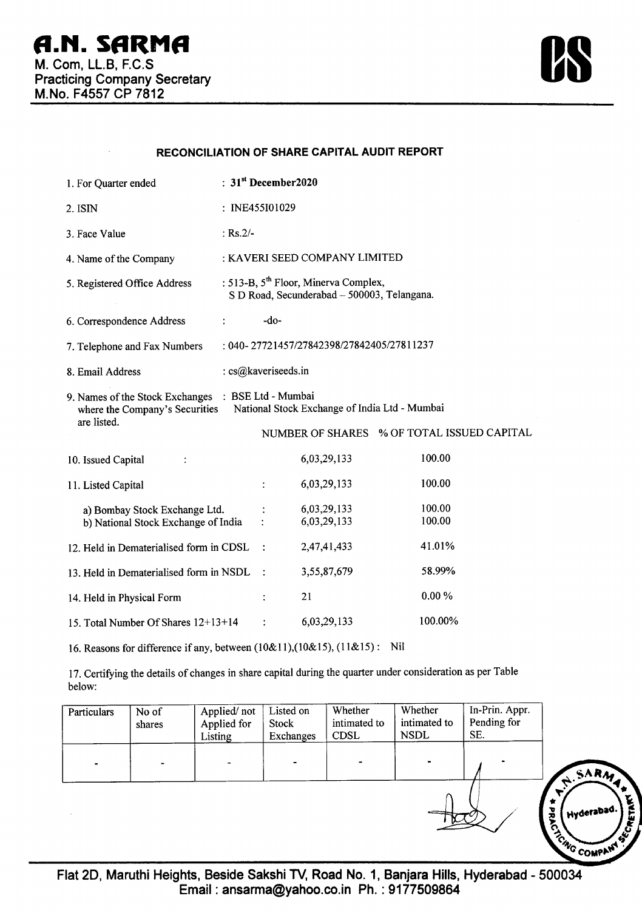

## **RECONCILIATION OF SHARE CAPITAL AUDIT REPORT**

| 1. For Quarter ended                                                                                                                  | : $31st$ December 2020                                                                          |                |                            |                                            |  |  |
|---------------------------------------------------------------------------------------------------------------------------------------|-------------------------------------------------------------------------------------------------|----------------|----------------------------|--------------------------------------------|--|--|
| 2. ISIN                                                                                                                               | : INE455I01029                                                                                  |                |                            |                                            |  |  |
| 3. Face Value                                                                                                                         | : $Rs.2/-$                                                                                      |                |                            |                                            |  |  |
| 4. Name of the Company                                                                                                                | : KAVERI SEED COMPANY LIMITED                                                                   |                |                            |                                            |  |  |
| 5. Registered Office Address                                                                                                          | : 513-B, 5 <sup>th</sup> Floor, Minerva Complex,<br>S D Road, Secunderabad - 500003, Telangana. |                |                            |                                            |  |  |
| 6. Correspondence Address                                                                                                             | $\ddot{\cdot}$                                                                                  | $-do-$         |                            |                                            |  |  |
| : 040-27721457/27842398/27842405/27811237<br>7. Telephone and Fax Numbers                                                             |                                                                                                 |                |                            |                                            |  |  |
| 8. Email Address                                                                                                                      | : cs@kaveriseeds.in                                                                             |                |                            |                                            |  |  |
| 9. Names of the Stock Exchanges : BSE Ltd - Mumbai<br>National Stock Exchange of India Ltd - Mumbai<br>where the Company's Securities |                                                                                                 |                |                            |                                            |  |  |
| are listed.                                                                                                                           |                                                                                                 |                |                            | NUMBER OF SHARES % OF TOTAL ISSUED CAPITAL |  |  |
| 10. Issued Capital                                                                                                                    |                                                                                                 |                | 6,03,29,133                | 100.00                                     |  |  |
| 11. Listed Capital                                                                                                                    |                                                                                                 |                | 6,03,29,133                | 100.00                                     |  |  |
| a) Bombay Stock Exchange Ltd.<br>b) National Stock Exchange of India                                                                  |                                                                                                 |                | 6,03,29,133<br>6,03,29,133 | 100.00<br>100.00                           |  |  |
| 12. Held in Dematerialised form in CDSL                                                                                               |                                                                                                 | $\ddot{\cdot}$ | 2,47,41,433                | 41.01%                                     |  |  |
| 13. Held in Dematerialised form in NSDL                                                                                               |                                                                                                 |                | 3,55,87,679                | 58.99%                                     |  |  |
| 14. Held in Physical Form                                                                                                             |                                                                                                 |                | 21                         | $0.00\%$                                   |  |  |
| 15. Total Number Of Shares 12+13+14                                                                                                   |                                                                                                 |                | 6,03,29,133                | 100.00%                                    |  |  |

16. Reasons for difference if any, between (10&11),(10&15), (11&15): Nil

17. Certifying the details of changes in share capital during the quarter under consideration as per Table below:

| Particulars | No of<br>shares | Applied/not<br>Applied for<br>Listing | Listed on<br>Stock<br>Exchanges | Whether<br>intimated to<br><b>CDSL</b> | Whether<br>intimated to<br><b>NSDL</b> | In-Prin. Appr.<br>Pending for<br>SE. |                                                                         |
|-------------|-----------------|---------------------------------------|---------------------------------|----------------------------------------|----------------------------------------|--------------------------------------|-------------------------------------------------------------------------|
|             |                 |                                       |                                 | $\blacksquare$                         |                                        |                                      | SARM.                                                                   |
|             |                 |                                       |                                 |                                        |                                        |                                      | I Hyderabad.<br><b>COMPANY</b><br>$\boldsymbol{s}^{\boldsymbol{\zeta}}$ |
|             |                 |                                       |                                 |                                        |                                        |                                      |                                                                         |